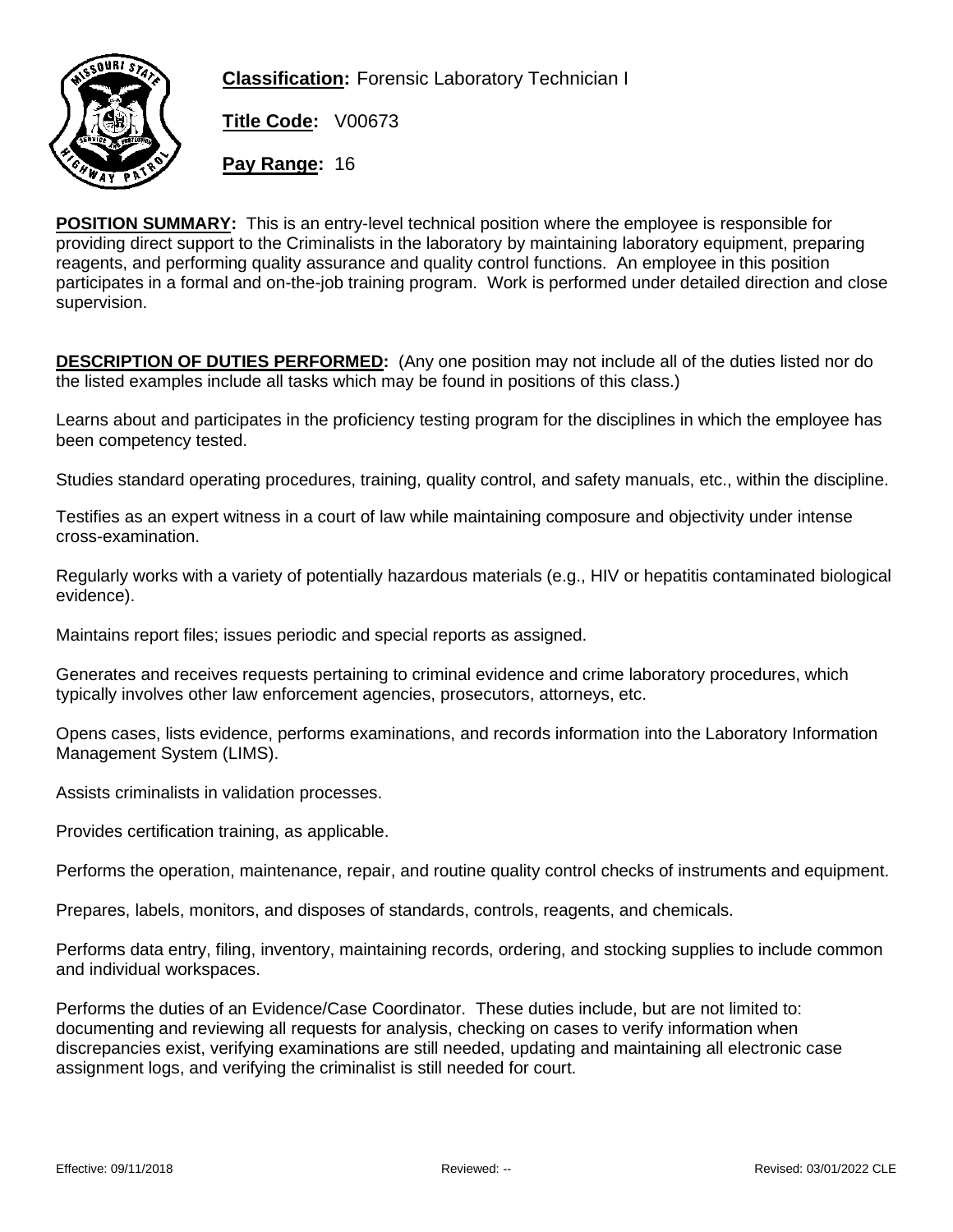

**Classification:** Forensic Laboratory Technician I

**Title Code:** V00673

**Pay Range:** 16

**POSITION SUMMARY:** This is an entry-level technical position where the employee is responsible for providing direct support to the Criminalists in the laboratory by maintaining laboratory equipment, preparing reagents, and performing quality assurance and quality control functions. An employee in this position participates in a formal and on-the-job training program. Work is performed under detailed direction and close supervision.

**DESCRIPTION OF DUTIES PERFORMED:** (Any one position may not include all of the duties listed nor do the listed examples include all tasks which may be found in positions of this class.)

Learns about and participates in the proficiency testing program for the disciplines in which the employee has been competency tested.

Studies standard operating procedures, training, quality control, and safety manuals, etc., within the discipline.

Testifies as an expert witness in a court of law while maintaining composure and objectivity under intense cross-examination.

Regularly works with a variety of potentially hazardous materials (e.g., HIV or hepatitis contaminated biological evidence).

Maintains report files; issues periodic and special reports as assigned.

Generates and receives requests pertaining to criminal evidence and crime laboratory procedures, which typically involves other law enforcement agencies, prosecutors, attorneys, etc.

Opens cases, lists evidence, performs examinations, and records information into the Laboratory Information Management System (LIMS).

Assists criminalists in validation processes.

Provides certification training, as applicable.

Performs the operation, maintenance, repair, and routine quality control checks of instruments and equipment.

Prepares, labels, monitors, and disposes of standards, controls, reagents, and chemicals.

Performs data entry, filing, inventory, maintaining records, ordering, and stocking supplies to include common and individual workspaces.

Performs the duties of an Evidence/Case Coordinator. These duties include, but are not limited to: documenting and reviewing all requests for analysis, checking on cases to verify information when discrepancies exist, verifying examinations are still needed, updating and maintaining all electronic case assignment logs, and verifying the criminalist is still needed for court.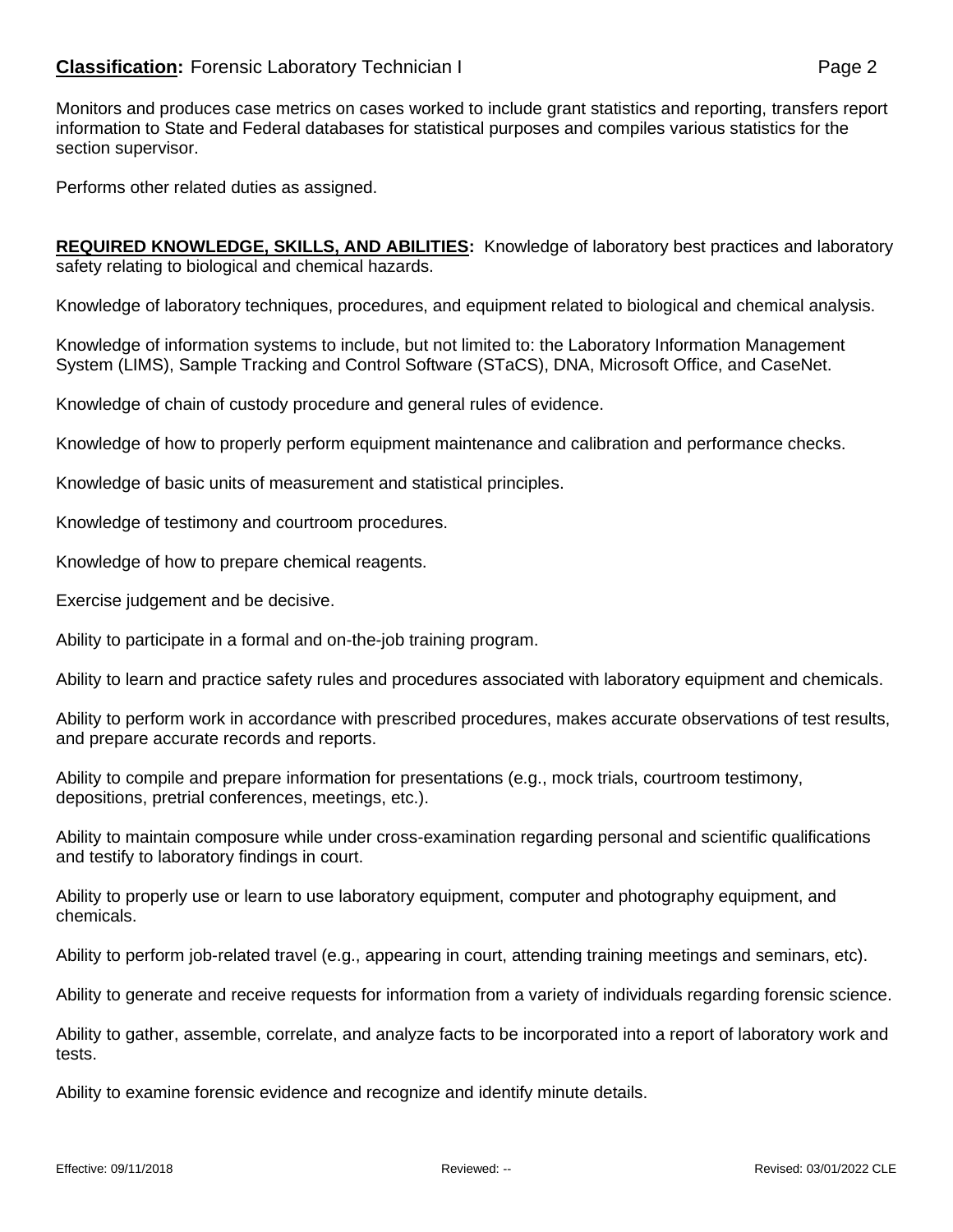## **Classification:** Forensic Laboratory Technician I **Classification:** Page 2

Monitors and produces case metrics on cases worked to include grant statistics and reporting, transfers report information to State and Federal databases for statistical purposes and compiles various statistics for the section supervisor.

Performs other related duties as assigned.

**REQUIRED KNOWLEDGE, SKILLS, AND ABILITIES:** Knowledge of laboratory best practices and laboratory safety relating to biological and chemical hazards.

Knowledge of laboratory techniques, procedures, and equipment related to biological and chemical analysis.

Knowledge of information systems to include, but not limited to: the Laboratory Information Management System (LIMS), Sample Tracking and Control Software (STaCS), DNA, Microsoft Office, and CaseNet.

Knowledge of chain of custody procedure and general rules of evidence.

Knowledge of how to properly perform equipment maintenance and calibration and performance checks.

Knowledge of basic units of measurement and statistical principles.

Knowledge of testimony and courtroom procedures.

Knowledge of how to prepare chemical reagents.

Exercise judgement and be decisive.

Ability to participate in a formal and on-the-job training program.

Ability to learn and practice safety rules and procedures associated with laboratory equipment and chemicals.

Ability to perform work in accordance with prescribed procedures, makes accurate observations of test results, and prepare accurate records and reports.

Ability to compile and prepare information for presentations (e.g., mock trials, courtroom testimony, depositions, pretrial conferences, meetings, etc.).

Ability to maintain composure while under cross-examination regarding personal and scientific qualifications and testify to laboratory findings in court.

Ability to properly use or learn to use laboratory equipment, computer and photography equipment, and chemicals.

Ability to perform job-related travel (e.g., appearing in court, attending training meetings and seminars, etc).

Ability to generate and receive requests for information from a variety of individuals regarding forensic science.

Ability to gather, assemble, correlate, and analyze facts to be incorporated into a report of laboratory work and tests.

Ability to examine forensic evidence and recognize and identify minute details.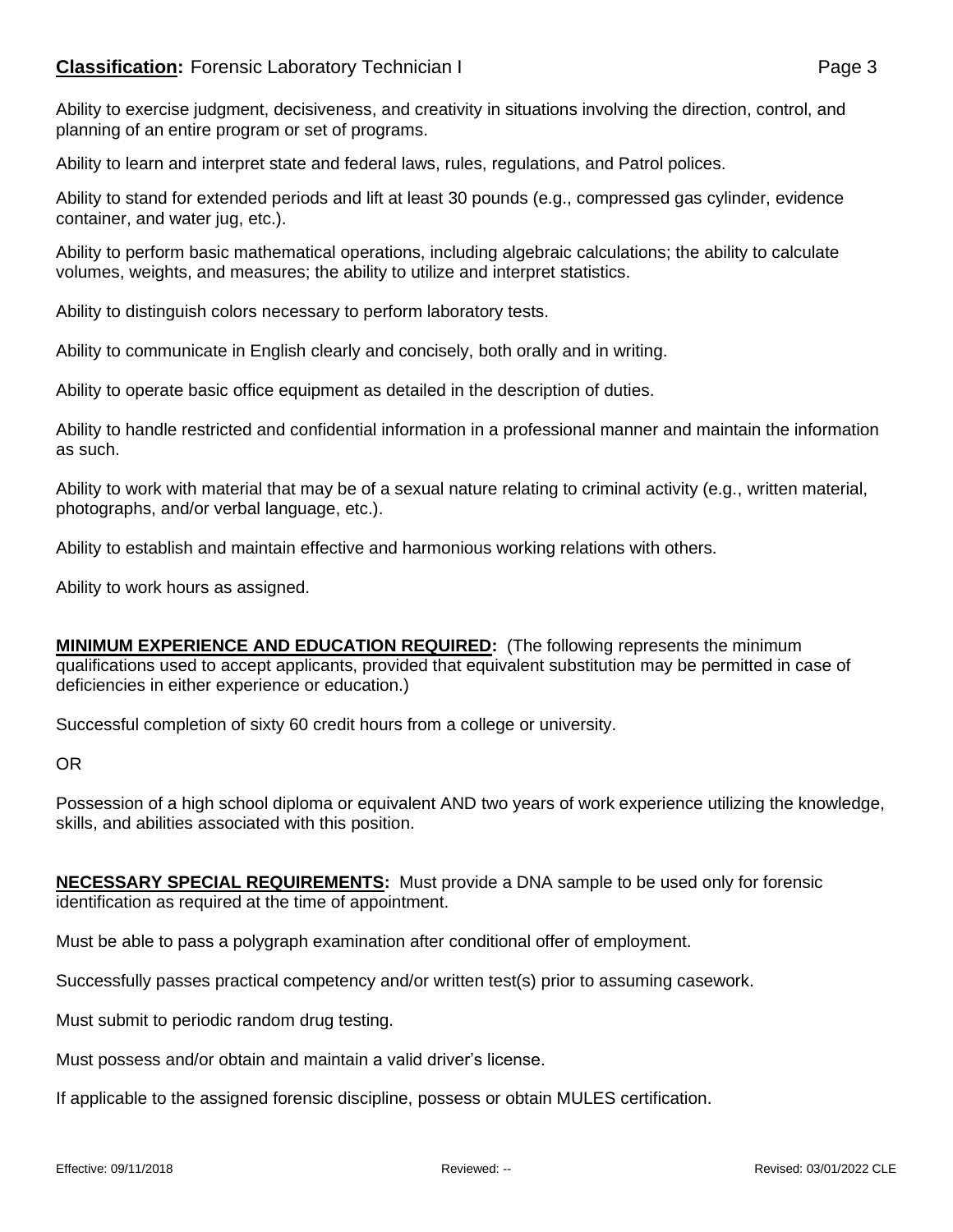Ability to exercise judgment, decisiveness, and creativity in situations involving the direction, control, and planning of an entire program or set of programs.

Ability to learn and interpret state and federal laws, rules, regulations, and Patrol polices.

Ability to stand for extended periods and lift at least 30 pounds (e.g., compressed gas cylinder, evidence container, and water jug, etc.).

Ability to perform basic mathematical operations, including algebraic calculations; the ability to calculate volumes, weights, and measures; the ability to utilize and interpret statistics.

Ability to distinguish colors necessary to perform laboratory tests.

Ability to communicate in English clearly and concisely, both orally and in writing.

Ability to operate basic office equipment as detailed in the description of duties.

Ability to handle restricted and confidential information in a professional manner and maintain the information as such.

Ability to work with material that may be of a sexual nature relating to criminal activity (e.g., written material, photographs, and/or verbal language, etc.).

Ability to establish and maintain effective and harmonious working relations with others.

Ability to work hours as assigned.

**MINIMUM EXPERIENCE AND EDUCATION REQUIRED:** (The following represents the minimum qualifications used to accept applicants, provided that equivalent substitution may be permitted in case of deficiencies in either experience or education.)

Successful completion of sixty 60 credit hours from a college or university.

OR

Possession of a high school diploma or equivalent AND two years of work experience utilizing the knowledge, skills, and abilities associated with this position.

**NECESSARY SPECIAL REQUIREMENTS:** Must provide a DNA sample to be used only for forensic identification as required at the time of appointment.

Must be able to pass a polygraph examination after conditional offer of employment.

Successfully passes practical competency and/or written test(s) prior to assuming casework.

Must submit to periodic random drug testing.

Must possess and/or obtain and maintain a valid driver's license.

If applicable to the assigned forensic discipline, possess or obtain MULES certification.